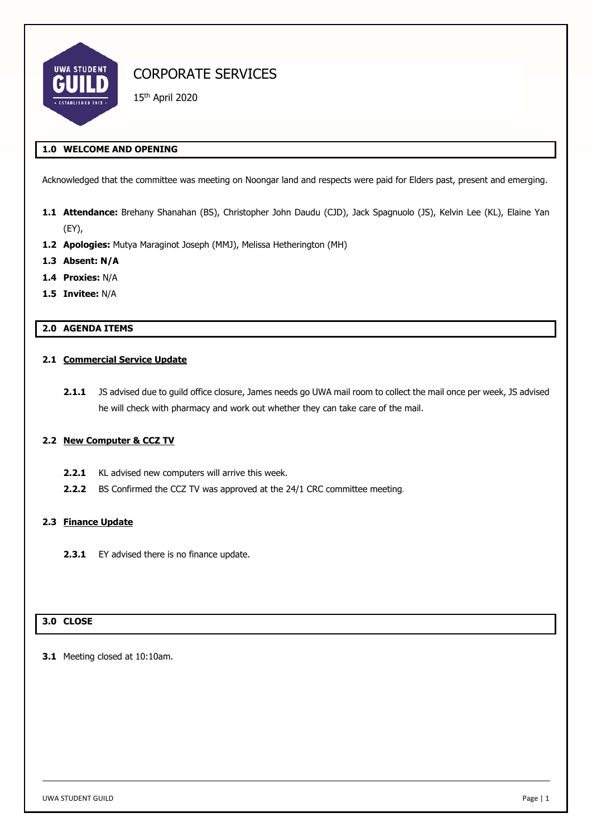

15th April 2020

## **1.0 WELCOME AND OPENING**

Acknowledged that the committee was meeting on Noongar land and respects were paid for Elders past, present and emerging.

- **1.1 Attendance:** Brehany Shanahan (BS), Christopher John Daudu (CJD), Jack Spagnuolo (JS), Kelvin Lee (KL), Elaine Yan (EY),
- **1.2 Apologies:** Mutya Maraginot Joseph (MMJ), Melissa Hetherington (MH)
- **1.3 Absent: N/A**
- **1.4 Proxies:** N/A
- **1.5 Invitee:** N/A

# **2.0 AGENDA ITEMS**

#### **2.1 Commercial Service Update**

**2.1.1** JS advised due to guild office closure, James needs go UWA mail room to collect the mail once per week, JS advised he will check with pharmacy and work out whether they can take care of the mail.

### **2.2 New Computer & CCZ TV**

- **2.2.1** KL advised new computers will arrive this week.
- **2.2.2** BS Confirmed the CCZ TV was approved at the 24/1 CRC committee meeting.

#### **2.3 Finance Update**

2.3.1 EY advised there is no finance update.

# **3.0 CLOSE**

**3.1** Meeting closed at 10:10am.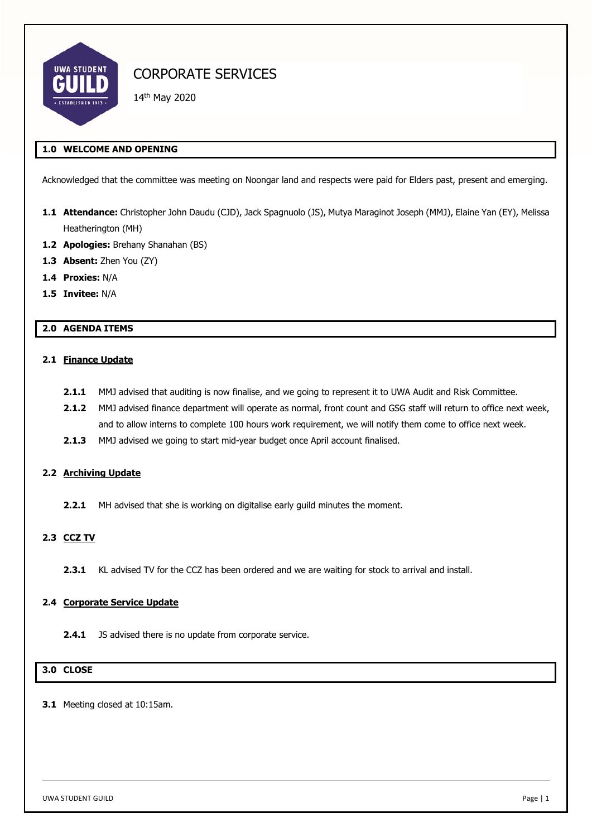

14th May 2020

## **1.0 WELCOME AND OPENING**

Acknowledged that the committee was meeting on Noongar land and respects were paid for Elders past, present and emerging.

- **1.1 Attendance:** Christopher John Daudu (CJD), Jack Spagnuolo (JS), Mutya Maraginot Joseph (MMJ), Elaine Yan (EY), Melissa Heatherington (MH)
- **1.2 Apologies:** Brehany Shanahan (BS)
- 1.3 **Absent:** Zhen You (ZY)
- **1.4 Proxies:** N/A
- **1.5 Invitee:** N/A

# **2.0 AGENDA ITEMS**

#### **2.1 Finance Update**

- **2.1.1** MMJ advised that auditing is now finalise, and we going to represent it to UWA Audit and Risk Committee.
- **2.1.2** MMJ advised finance department will operate as normal, front count and GSG staff will return to office next week, and to allow interns to complete 100 hours work requirement, we will notify them come to office next week.
- **2.1.3** MMJ advised we going to start mid-year budget once April account finalised.

# **2.2 Archiving Update**

**2.2.1** MH advised that she is working on digitalise early guild minutes the moment.

### **2.3 CCZ TV**

**2.3.1** KL advised TV for the CCZ has been ordered and we are waiting for stock to arrival and install.

### **2.4 Corporate Service Update**

**2.4.1** JS advised there is no update from corporate service.

### **3.0 CLOSE**

**3.1** Meeting closed at 10:15am.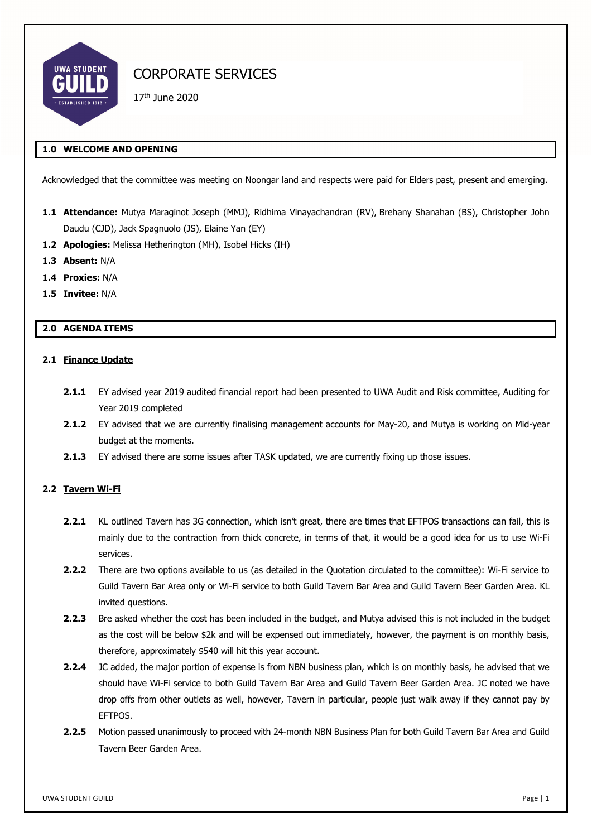

17th June 2020

# **1.0 WELCOME AND OPENING**

Acknowledged that the committee was meeting on Noongar land and respects were paid for Elders past, present and emerging.

- **1.1 Attendance:** Mutya Maraginot Joseph (MMJ), Ridhima Vinayachandran (RV), Brehany Shanahan (BS), Christopher John Daudu (CJD), Jack Spagnuolo (JS), Elaine Yan (EY)
- **1.2 Apologies:** Melissa Hetherington (MH), Isobel Hicks (IH)
- **1.3 Absent:** N/A
- **1.4 Proxies:** N/A
- **1.5 Invitee:** N/A

## **2.0 AGENDA ITEMS**

#### **2.1 Finance Update**

- **2.1.1** EY advised year 2019 audited financial report had been presented to UWA Audit and Risk committee, Auditing for Year 2019 completed
- **2.1.2** EY advised that we are currently finalising management accounts for May-20, and Mutya is working on Mid-year budget at the moments.
- **2.1.3** EY advised there are some issues after TASK updated, we are currently fixing up those issues.

### **2.2 Tavern Wi-Fi**

- **2.2.1** KL outlined Tavern has 3G connection, which isn't great, there are times that EFTPOS transactions can fail, this is mainly due to the contraction from thick concrete, in terms of that, it would be a good idea for us to use Wi-Fi services.
- **2.2.2** There are two options available to us (as detailed in the Quotation circulated to the committee): Wi-Fi service to Guild Tavern Bar Area only or Wi-Fi service to both Guild Tavern Bar Area and Guild Tavern Beer Garden Area. KL invited questions.
- **2.2.3** Bre asked whether the cost has been included in the budget, and Mutya advised this is not included in the budget as the cost will be below \$2k and will be expensed out immediately, however, the payment is on monthly basis, therefore, approximately \$540 will hit this year account.
- **2.2.4** JC added, the major portion of expense is from NBN business plan, which is on monthly basis, he advised that we should have Wi-Fi service to both Guild Tavern Bar Area and Guild Tavern Beer Garden Area. JC noted we have drop offs from other outlets as well, however, Tavern in particular, people just walk away if they cannot pay by EFTPOS.
- **2.2.5** Motion passed unanimously to proceed with 24-month NBN Business Plan for both Guild Tavern Bar Area and Guild Tavern Beer Garden Area.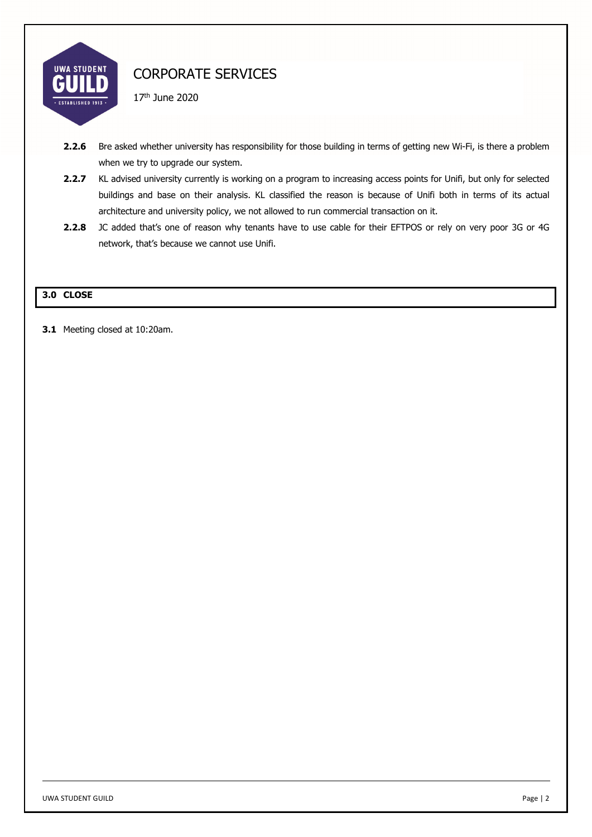

17th June 2020

- 2.2.6 Bre asked whether university has responsibility for those building in terms of getting new Wi-Fi, is there a problem when we try to upgrade our system.
- 2.2.7 KL advised university currently is working on a program to increasing access points for Unifi, but only for selected buildings and base on their analysis. KL classified the reason is because of Unifi both in terms of its actual architecture and university policy, we not allowed to run commercial transaction on it.
- **2.2.8** JC added that's one of reason why tenants have to use cable for their EFTPOS or rely on very poor 3G or 4G network, that's because we cannot use Unifi.

# **3.0 CLOSE**

**3.1** Meeting closed at 10:20am.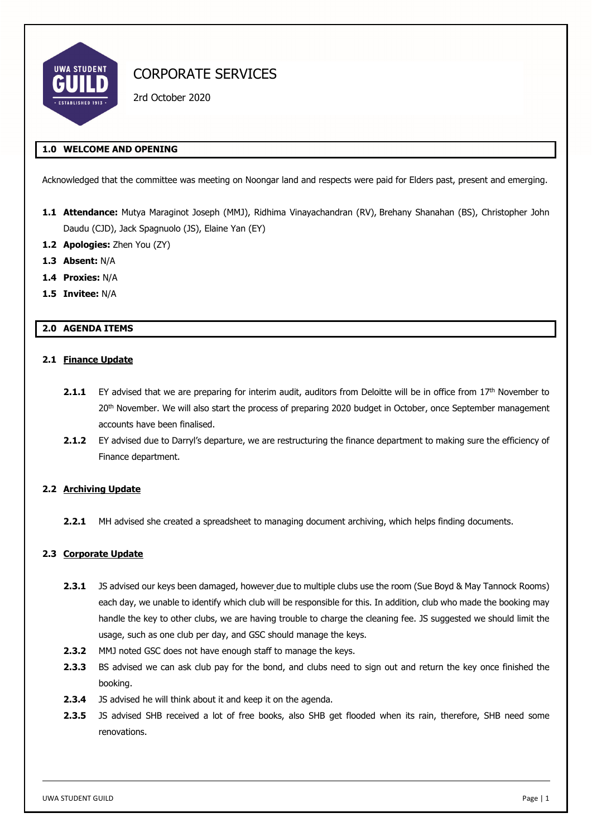

2rd October 2020

# **1.0 WELCOME AND OPENING**

Acknowledged that the committee was meeting on Noongar land and respects were paid for Elders past, present and emerging.

- **1.1 Attendance:** Mutya Maraginot Joseph (MMJ), Ridhima Vinayachandran (RV), Brehany Shanahan (BS), Christopher John Daudu (CJD), Jack Spagnuolo (JS), Elaine Yan (EY)
- **1.2 Apologies:** Zhen You (ZY)
- **1.3 Absent:** N/A
- **1.4 Proxies:** N/A
- **1.5 Invitee:** N/A

## **2.0 AGENDA ITEMS**

#### **2.1 Finance Update**

- 2.1.1 EY advised that we are preparing for interim audit, auditors from Deloitte will be in office from 17th November to 20<sup>th</sup> November. We will also start the process of preparing 2020 budget in October, once September management accounts have been finalised.
- **2.1.2** EY advised due to Darryl's departure, we are restructuring the finance department to making sure the efficiency of Finance department.

#### **2.2 Archiving Update**

**2.2.1** MH advised she created a spreadsheet to managing document archiving, which helps finding documents.

### **2.3 Corporate Update**

- **2.3.1** JS advised our keys been damaged, however due to multiple clubs use the room (Sue Boyd & May Tannock Rooms) each day, we unable to identify which club will be responsible for this. In addition, club who made the booking may handle the key to other clubs, we are having trouble to charge the cleaning fee. JS suggested we should limit the usage, such as one club per day, and GSC should manage the keys.
- **2.3.2** MMJ noted GSC does not have enough staff to manage the keys.
- **2.3.3** BS advised we can ask club pay for the bond, and clubs need to sign out and return the key once finished the booking.
- **2.3.4** JS advised he will think about it and keep it on the agenda.
- **2.3.5** JS advised SHB received a lot of free books, also SHB get flooded when its rain, therefore, SHB need some renovations.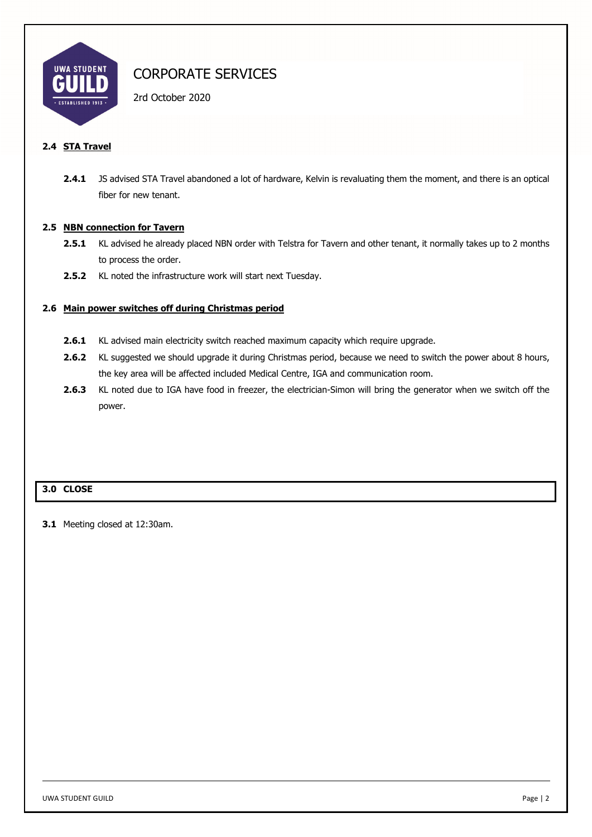

2rd October 2020

# **2.4 STA Travel**

**2.4.1** JS advised STA Travel abandoned a lot of hardware, Kelvin is revaluating them the moment, and there is an optical fiber for new tenant.

## **2.5 NBN connection for Tavern**

- **2.5.1** KL advised he already placed NBN order with Telstra for Tavern and other tenant, it normally takes up to 2 months to process the order.
- **2.5.2** KL noted the infrastructure work will start next Tuesday.

## **2.6 Main power switches off during Christmas period**

- 2.6.1 KL advised main electricity switch reached maximum capacity which require upgrade.
- 2.6.2 KL suggested we should upgrade it during Christmas period, because we need to switch the power about 8 hours, the key area will be affected included Medical Centre, IGA and communication room.
- **2.6.3** KL noted due to IGA have food in freezer, the electrician-Simon will bring the generator when we switch off the power.

# **3.0 CLOSE**

**3.1** Meeting closed at 12:30am.